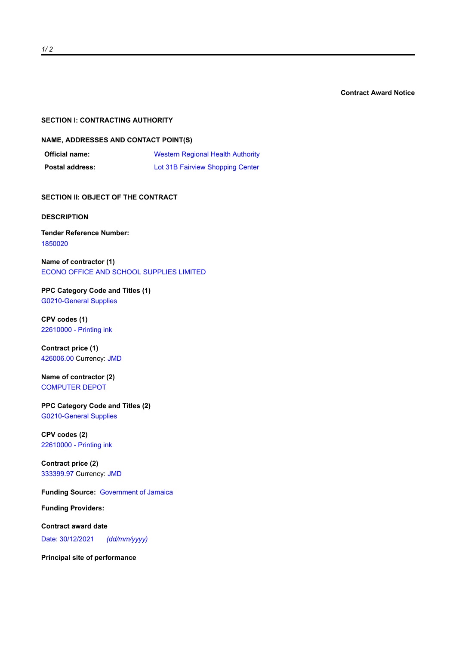**Contract Award Notice**

#### **SECTION I: CONTRACTING AUTHORITY**

### **NAME, ADDRESSES AND CONTACT POINT(S)**

| <b>Official name:</b>  | <b>Western Regional Health Authority</b> |
|------------------------|------------------------------------------|
| <b>Postal address:</b> | Lot 31B Fairview Shopping Center         |

**SECTION II: OBJECT OF THE CONTRACT** 

#### **DESCRIPTION**

# **Tender Reference Number:** 1850020

**Name of contractor (1)** ECONO OFFICE AND SCHOOL SUPPLIES LIMITED

**PPC Category Code and Titles (1)** G0210-General Supplies

**CPV codes (1)** 22610000 - Printing ink

**Contract price (1)** 426006.00 Currency: JMD

## **Name of contractor (2)** COMPUTER DEPOT

**PPC Category Code and Titles (2)** G0210-General Supplies

**CPV codes (2)** 22610000 - Printing ink

## **Contract price (2)** 333399.97 Currency: JMD

**Funding Source:** Government of Jamaica

**Funding Providers:**

**Contract award date** Date: 30/12/2021 *(dd/mm/yyyy)*

**Principal site of performance**